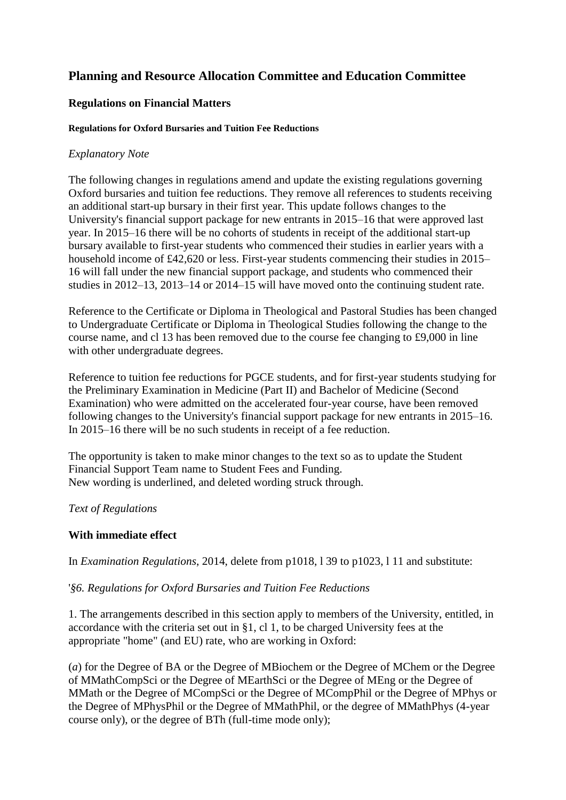# **Planning and Resource Allocation Committee and Education Committee**

## **Regulations on Financial Matters**

#### **Regulations for Oxford Bursaries and Tuition Fee Reductions**

### *Explanatory Note*

The following changes in regulations amend and update the existing regulations governing Oxford bursaries and tuition fee reductions. They remove all references to students receiving an additional start-up bursary in their first year. This update follows changes to the University's financial support package for new entrants in 2015–16 that were approved last year. In 2015–16 there will be no cohorts of students in receipt of the additional start-up bursary available to first-year students who commenced their studies in earlier years with a household income of £42,620 or less. First-year students commencing their studies in 2015– 16 will fall under the new financial support package, and students who commenced their studies in 2012–13, 2013–14 or 2014–15 will have moved onto the continuing student rate.

Reference to the Certificate or Diploma in Theological and Pastoral Studies has been changed to Undergraduate Certificate or Diploma in Theological Studies following the change to the course name, and cl 13 has been removed due to the course fee changing to £9,000 in line with other undergraduate degrees.

Reference to tuition fee reductions for PGCE students, and for first-year students studying for the Preliminary Examination in Medicine (Part II) and Bachelor of Medicine (Second Examination) who were admitted on the accelerated four-year course, have been removed following changes to the University's financial support package for new entrants in 2015–16. In 2015–16 there will be no such students in receipt of a fee reduction.

The opportunity is taken to make minor changes to the text so as to update the Student Financial Support Team name to Student Fees and Funding. New wording is underlined, and deleted wording struck through.

*Text of Regulations*

## **With immediate effect**

In *Examination Regulations*, 2014, delete from p1018, l 39 to p1023, l 11 and substitute:

### '*§6. Regulations for Oxford Bursaries and Tuition Fee Reductions*

1. The arrangements described in this section apply to members of the University, entitled, in accordance with the criteria set out in §1, cl 1, to be charged University fees at the appropriate "home" (and EU) rate, who are working in Oxford:

(*a*) for the Degree of BA or the Degree of MBiochem or the Degree of MChem or the Degree of MMathCompSci or the Degree of MEarthSci or the Degree of MEng or the Degree of MMath or the Degree of MCompSci or the Degree of MCompPhil or the Degree of MPhys or the Degree of MPhysPhil or the Degree of MMathPhil, or the degree of MMathPhys (4-year course only), or the degree of BTh (full-time mode only);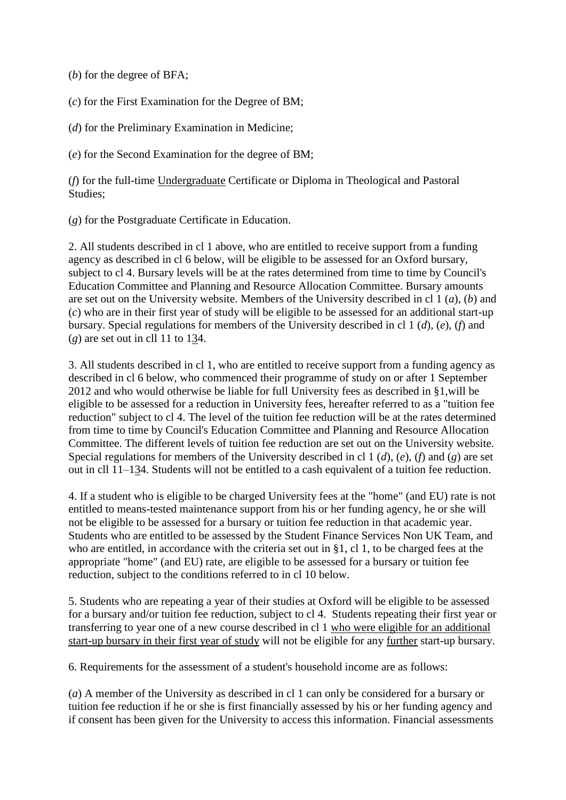(*b*) for the degree of BFA;

(*c*) for the First Examination for the Degree of BM;

(*d*) for the Preliminary Examination in Medicine;

(*e*) for the Second Examination for the degree of BM;

(*f*) for the full-time Undergraduate Certificate or Diploma in Theological and Pastoral Studies;

(*g*) for the Postgraduate Certificate in Education.

2. All students described in cl 1 above, who are entitled to receive support from a funding agency as described in cl 6 below, will be eligible to be assessed for an Oxford bursary, subject to cl 4. Bursary levels will be at the rates determined from time to time by Council's Education Committee and Planning and Resource Allocation Committee. Bursary amounts are set out on the University website. Members of the University described in cl 1 (*a*), (*b*) and (*c*) who are in their first year of study will be eligible to be assessed for an additional start-up bursary. Special regulations for members of the University described in cl 1 (*d*), (*e*), (*f*) and (*g*) are set out in cll 11 to 134.

3. All students described in cl 1, who are entitled to receive support from a funding agency as described in cl 6 below, who commenced their programme of study on or after 1 September 2012 and who would otherwise be liable for full University fees as described in §1,will be eligible to be assessed for a reduction in University fees, hereafter referred to as a "tuition fee reduction" subject to cl 4. The level of the tuition fee reduction will be at the rates determined from time to time by Council's Education Committee and Planning and Resource Allocation Committee. The different levels of tuition fee reduction are set out on the University website. Special regulations for members of the University described in cl 1 (*d*), (*e*), (*f*) and (*g*) are set out in cll 11–134. Students will not be entitled to a cash equivalent of a tuition fee reduction.

4. If a student who is eligible to be charged University fees at the "home" (and EU) rate is not entitled to means-tested maintenance support from his or her funding agency, he or she will not be eligible to be assessed for a bursary or tuition fee reduction in that academic year. Students who are entitled to be assessed by the Student Finance Services Non UK Team, and who are entitled, in accordance with the criteria set out in §1, cl 1, to be charged fees at the appropriate "home" (and EU) rate, are eligible to be assessed for a bursary or tuition fee reduction, subject to the conditions referred to in cl 10 below.

5. Students who are repeating a year of their studies at Oxford will be eligible to be assessed for a bursary and/or tuition fee reduction, subject to cl 4. Students repeating their first year or transferring to year one of a new course described in cl 1 who were eligible for an additional start-up bursary in their first year of study will not be eligible for any further start-up bursary.

6. Requirements for the assessment of a student's household income are as follows:

(*a*) A member of the University as described in cl 1 can only be considered for a bursary or tuition fee reduction if he or she is first financially assessed by his or her funding agency and if consent has been given for the University to access this information. Financial assessments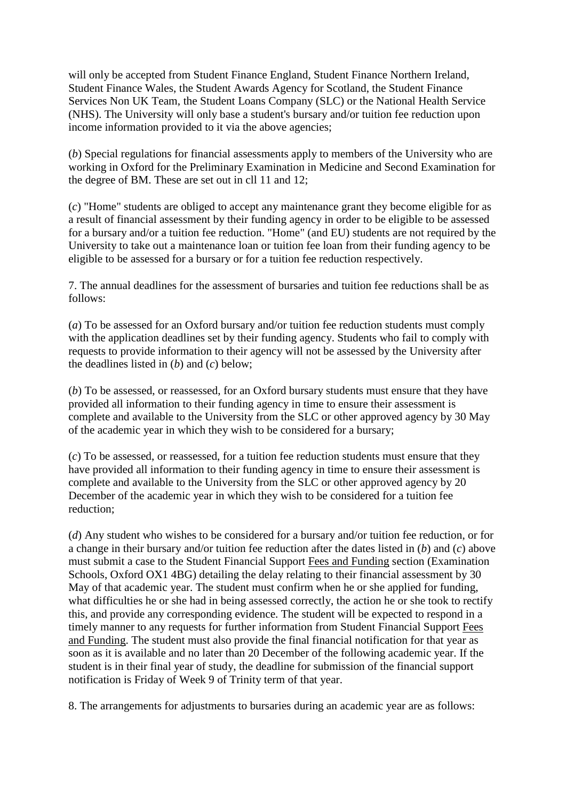will only be accepted from Student Finance England, Student Finance Northern Ireland, Student Finance Wales, the Student Awards Agency for Scotland, the Student Finance Services Non UK Team, the Student Loans Company (SLC) or the National Health Service (NHS). The University will only base a student's bursary and/or tuition fee reduction upon income information provided to it via the above agencies;

(*b*) Special regulations for financial assessments apply to members of the University who are working in Oxford for the Preliminary Examination in Medicine and Second Examination for the degree of BM. These are set out in cll 11 and 12;

(*c*) "Home" students are obliged to accept any maintenance grant they become eligible for as a result of financial assessment by their funding agency in order to be eligible to be assessed for a bursary and/or a tuition fee reduction. "Home" (and EU) students are not required by the University to take out a maintenance loan or tuition fee loan from their funding agency to be eligible to be assessed for a bursary or for a tuition fee reduction respectively.

7. The annual deadlines for the assessment of bursaries and tuition fee reductions shall be as follows:

(*a*) To be assessed for an Oxford bursary and/or tuition fee reduction students must comply with the application deadlines set by their funding agency. Students who fail to comply with requests to provide information to their agency will not be assessed by the University after the deadlines listed in (*b*) and (*c*) below;

(*b*) To be assessed, or reassessed, for an Oxford bursary students must ensure that they have provided all information to their funding agency in time to ensure their assessment is complete and available to the University from the SLC or other approved agency by 30 May of the academic year in which they wish to be considered for a bursary;

(*c*) To be assessed, or reassessed, for a tuition fee reduction students must ensure that they have provided all information to their funding agency in time to ensure their assessment is complete and available to the University from the SLC or other approved agency by 20 December of the academic year in which they wish to be considered for a tuition fee reduction;

(*d*) Any student who wishes to be considered for a bursary and/or tuition fee reduction, or for a change in their bursary and/or tuition fee reduction after the dates listed in (*b*) and (*c*) above must submit a case to the Student Financial Support Fees and Funding section (Examination Schools, Oxford OX1 4BG) detailing the delay relating to their financial assessment by 30 May of that academic year. The student must confirm when he or she applied for funding, what difficulties he or she had in being assessed correctly, the action he or she took to rectify this, and provide any corresponding evidence. The student will be expected to respond in a timely manner to any requests for further information from Student Financial Support Fees and Funding. The student must also provide the final financial notification for that year as soon as it is available and no later than 20 December of the following academic year. If the student is in their final year of study, the deadline for submission of the financial support notification is Friday of Week 9 of Trinity term of that year.

8. The arrangements for adjustments to bursaries during an academic year are as follows: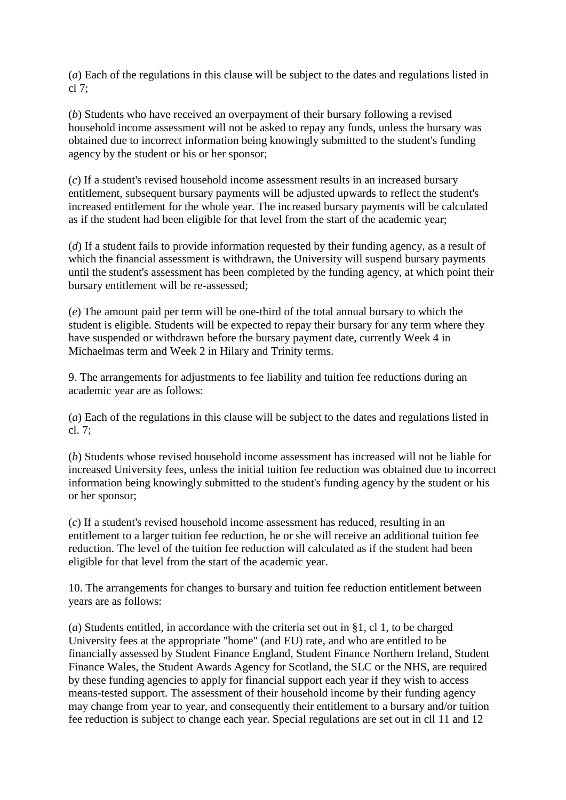(*a*) Each of the regulations in this clause will be subject to the dates and regulations listed in cl 7;

(*b*) Students who have received an overpayment of their bursary following a revised household income assessment will not be asked to repay any funds, unless the bursary was obtained due to incorrect information being knowingly submitted to the student's funding agency by the student or his or her sponsor;

(*c*) If a student's revised household income assessment results in an increased bursary entitlement, subsequent bursary payments will be adjusted upwards to reflect the student's increased entitlement for the whole year. The increased bursary payments will be calculated as if the student had been eligible for that level from the start of the academic year;

(*d*) If a student fails to provide information requested by their funding agency, as a result of which the financial assessment is withdrawn, the University will suspend bursary payments until the student's assessment has been completed by the funding agency, at which point their bursary entitlement will be re-assessed;

(*e*) The amount paid per term will be one-third of the total annual bursary to which the student is eligible. Students will be expected to repay their bursary for any term where they have suspended or withdrawn before the bursary payment date, currently Week 4 in Michaelmas term and Week 2 in Hilary and Trinity terms.

9. The arrangements for adjustments to fee liability and tuition fee reductions during an academic year are as follows:

(*a*) Each of the regulations in this clause will be subject to the dates and regulations listed in cl. 7;

(*b*) Students whose revised household income assessment has increased will not be liable for increased University fees, unless the initial tuition fee reduction was obtained due to incorrect information being knowingly submitted to the student's funding agency by the student or his or her sponsor;

(*c*) If a student's revised household income assessment has reduced, resulting in an entitlement to a larger tuition fee reduction, he or she will receive an additional tuition fee reduction. The level of the tuition fee reduction will calculated as if the student had been eligible for that level from the start of the academic year.

10. The arrangements for changes to bursary and tuition fee reduction entitlement between years are as follows:

(*a*) Students entitled, in accordance with the criteria set out in §1, cl 1, to be charged University fees at the appropriate "home" (and EU) rate, and who are entitled to be financially assessed by Student Finance England, Student Finance Northern Ireland, Student Finance Wales, the Student Awards Agency for Scotland, the SLC or the NHS, are required by these funding agencies to apply for financial support each year if they wish to access means-tested support. The assessment of their household income by their funding agency may change from year to year, and consequently their entitlement to a bursary and/or tuition fee reduction is subject to change each year. Special regulations are set out in cll 11 and 12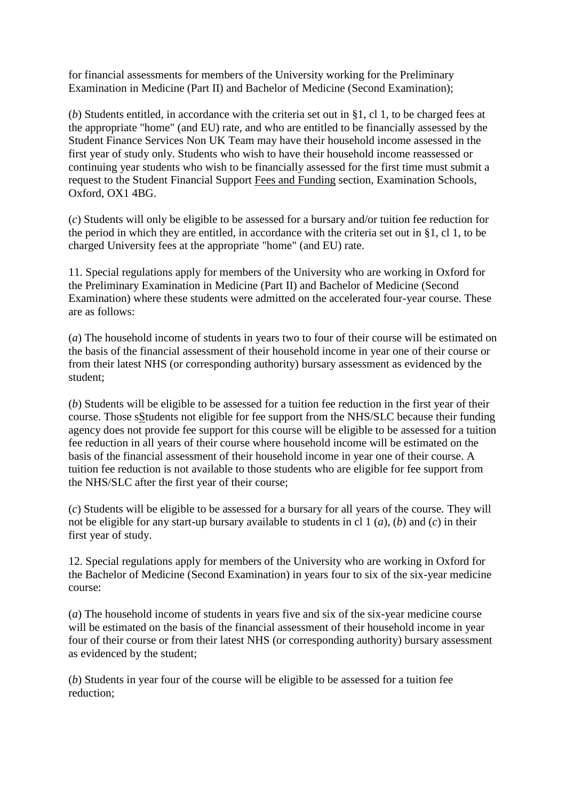for financial assessments for members of the University working for the Preliminary Examination in Medicine (Part II) and Bachelor of Medicine (Second Examination);

(*b*) Students entitled, in accordance with the criteria set out in §1, cl 1, to be charged fees at the appropriate "home" (and EU) rate, and who are entitled to be financially assessed by the Student Finance Services Non UK Team may have their household income assessed in the first year of study only. Students who wish to have their household income reassessed or continuing year students who wish to be financially assessed for the first time must submit a request to the Student Financial Support Fees and Funding section, Examination Schools, Oxford, OX1 4BG.

(*c*) Students will only be eligible to be assessed for a bursary and/or tuition fee reduction for the period in which they are entitled, in accordance with the criteria set out in §1, cl 1, to be charged University fees at the appropriate "home" (and EU) rate.

11. Special regulations apply for members of the University who are working in Oxford for the Preliminary Examination in Medicine (Part II) and Bachelor of Medicine (Second Examination) where these students were admitted on the accelerated four-year course. These are as follows:

(*a*) The household income of students in years two to four of their course will be estimated on the basis of the financial assessment of their household income in year one of their course or from their latest NHS (or corresponding authority) bursary assessment as evidenced by the student;

(*b*) Students will be eligible to be assessed for a tuition fee reduction in the first year of their course. Those sStudents not eligible for fee support from the NHS/SLC because their funding agency does not provide fee support for this course will be eligible to be assessed for a tuition fee reduction in all years of their course where household income will be estimated on the basis of the financial assessment of their household income in year one of their course. A tuition fee reduction is not available to those students who are eligible for fee support from the NHS/SLC after the first year of their course;

(*c*) Students will be eligible to be assessed for a bursary for all years of the course. They will not be eligible for any start-up bursary available to students in cl 1 (*a*), (*b*) and (*c*) in their first year of study.

12. Special regulations apply for members of the University who are working in Oxford for the Bachelor of Medicine (Second Examination) in years four to six of the six-year medicine course:

(*a*) The household income of students in years five and six of the six-year medicine course will be estimated on the basis of the financial assessment of their household income in year four of their course or from their latest NHS (or corresponding authority) bursary assessment as evidenced by the student;

(*b*) Students in year four of the course will be eligible to be assessed for a tuition fee reduction;